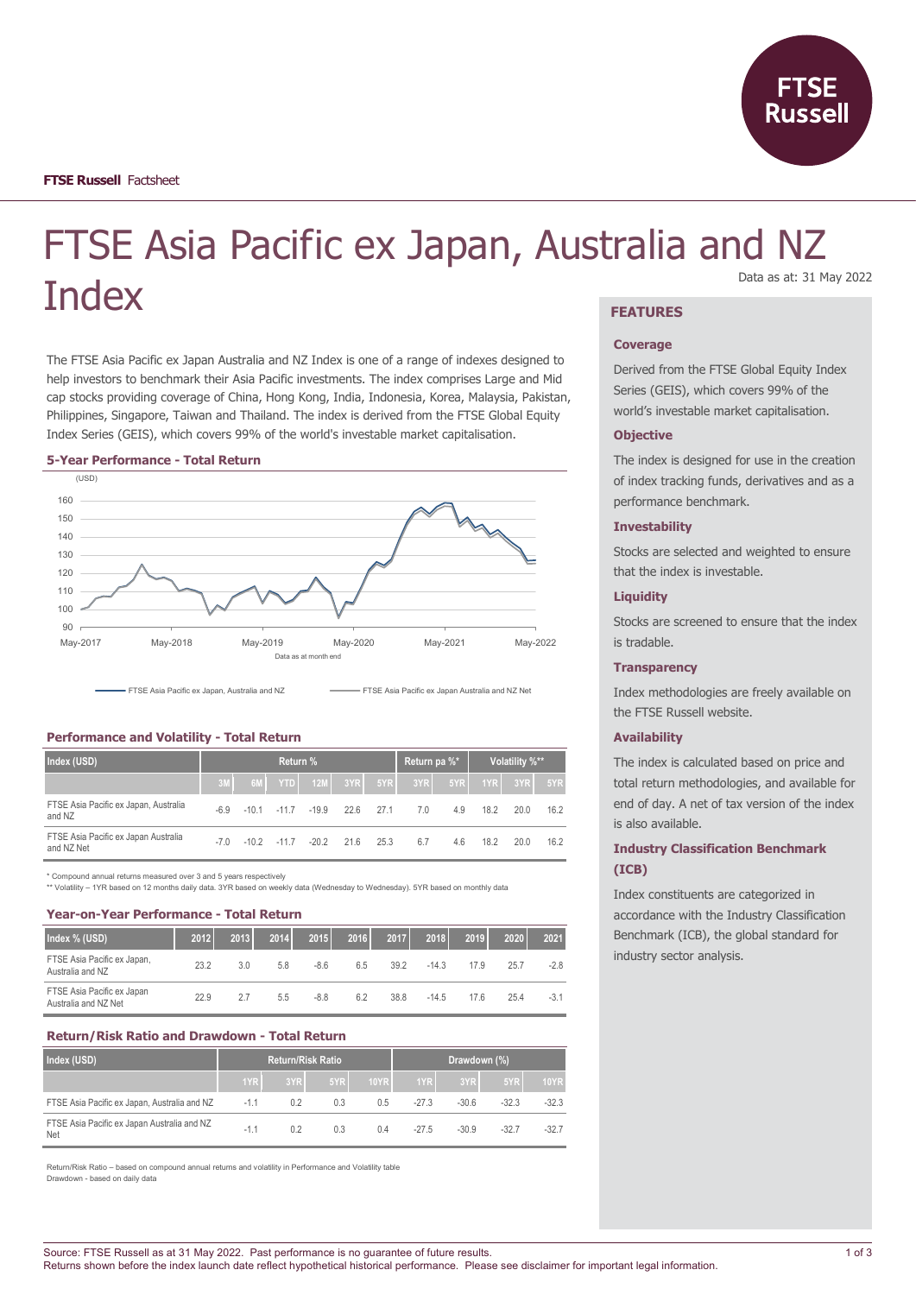

# FTSE Asia Pacific ex Japan, Australia and NZ **Index** Data as at: 31 May 2022

The FTSE Asia Pacific ex Japan Australia and NZ Index is one of a range of indexes designed to help investors to benchmark their Asia Pacific investments. The index comprises Large and Mid cap stocks providing coverage of China, Hong Kong, India, Indonesia, Korea, Malaysia, Pakistan, Philippines, Singapore, Taiwan and Thailand. The index is derived from the FTSE Global Equity Index Series (GEIS), which covers 99% of the world's investable market capitalisation.

#### **5-Year Performance - Total Return**



FTSE Asia Pacific ex Japan, Australia and NZ **FILE Asia Pacific ex Japan Australia and NZ Net** 

### **Performance and Volatility - Total Return**

| Index (USD)                                        | Return % |    |                |              |           | Return pa %* |     | Volatility %** |      |      |      |
|----------------------------------------------------|----------|----|----------------|--------------|-----------|--------------|-----|----------------|------|------|------|
|                                                    | 3M       | 6M | YTD            | $\sqrt{12M}$ | $3YR$ 5YR |              | 3YR | 5YR            | 1YR  | 3YR  | 5YR  |
| FTSE Asia Pacific ex Japan, Australia<br>and NZ    | $-6.9$   |    | $-10.1 - 11.7$ | $-19.9$      | 22.6      | 27.1         | 7.0 | 4.9            | 18.2 | 20.0 | 16.2 |
| FTSE Asia Pacific ex Japan Australia<br>and NZ Net | $-70$    |    | $-102 - 117$   | $-20.2$      | 21.6      | 25.3         | 6.7 | 4.6            | 18.2 | 20.0 | 16.2 |

\* Compound annual returns measured over 3 and 5 years respectively

\*\* Volatility – 1YR based on 12 months daily data. 3YR based on weekly data (Wednesday to Wednesday). 5YR based on monthly data

#### **Year-on-Year Performance - Total Return**

| Index % (USD)                                      | 2012 | 2013 | 2014 | 2015   | 2016 | 2017 | 2018    | 2019 | 2020 | 2021   |
|----------------------------------------------------|------|------|------|--------|------|------|---------|------|------|--------|
| FTSE Asia Pacific ex Japan,<br>Australia and NZ    | 23.2 | 3.0  | 5.8  | $-8.6$ | 6.5  | 39.2 | $-14.3$ | 179  | 25.7 | $-2.8$ |
| FTSE Asia Pacific ex Japan<br>Australia and NZ Net | 22.9 | 27   | 5.5  | $-8.8$ | 6.2  | 38.8 | $-14.5$ | 176  | 25.4 | -3.1   |

### **Return/Risk Ratio and Drawdown - Total Return**

| Index (USD)                                        | <b>Return/Risk Ratio</b> |     |     |     | Drawdown (%) |         |         |             |
|----------------------------------------------------|--------------------------|-----|-----|-----|--------------|---------|---------|-------------|
|                                                    | 1YR                      | 3YR | 5YR |     | 10YR 1YR     | 3YR     | 5YR     | <b>10YR</b> |
| FTSE Asia Pacific ex Japan, Australia and NZ       | $-1.1$                   | 0.2 | 0.3 | 0.5 | $-27.3$      | $-30.6$ | $-32.3$ | $-32.3$     |
| FTSE Asia Pacific ex Japan Australia and NZ<br>Net | $-1.1$                   | 0.2 | 0.3 | 0.4 | $-27.5$      | $-30.9$ | $-327$  | $-32.7$     |

Return/Risk Ratio – based on compound annual returns and volatility in Performance and Volatility table Drawdown - based on daily data

## **FEATURES**

#### **Coverage**

Derived from the FTSE Global Equity Index Series (GEIS), which covers 99% of the world's investable market capitalisation.

#### **Objective**

The index is designed for use in the creation of index tracking funds, derivatives and as a performance benchmark.

#### **Investability**

Stocks are selected and weighted to ensure that the index is investable.

# **Liquidity**

Stocks are screened to ensure that the index is tradable.

#### **Transparency**

Index methodologies are freely available on the FTSE Russell website.

#### **Availability**

The index is calculated based on price and total return methodologies, and available for end of day. A net of tax version of the index is also available.

# **Industry Classification Benchmark (ICB)**

Index constituents are categorized in accordance with the Industry Classification Benchmark (ICB), the global standard for industry sector analysis.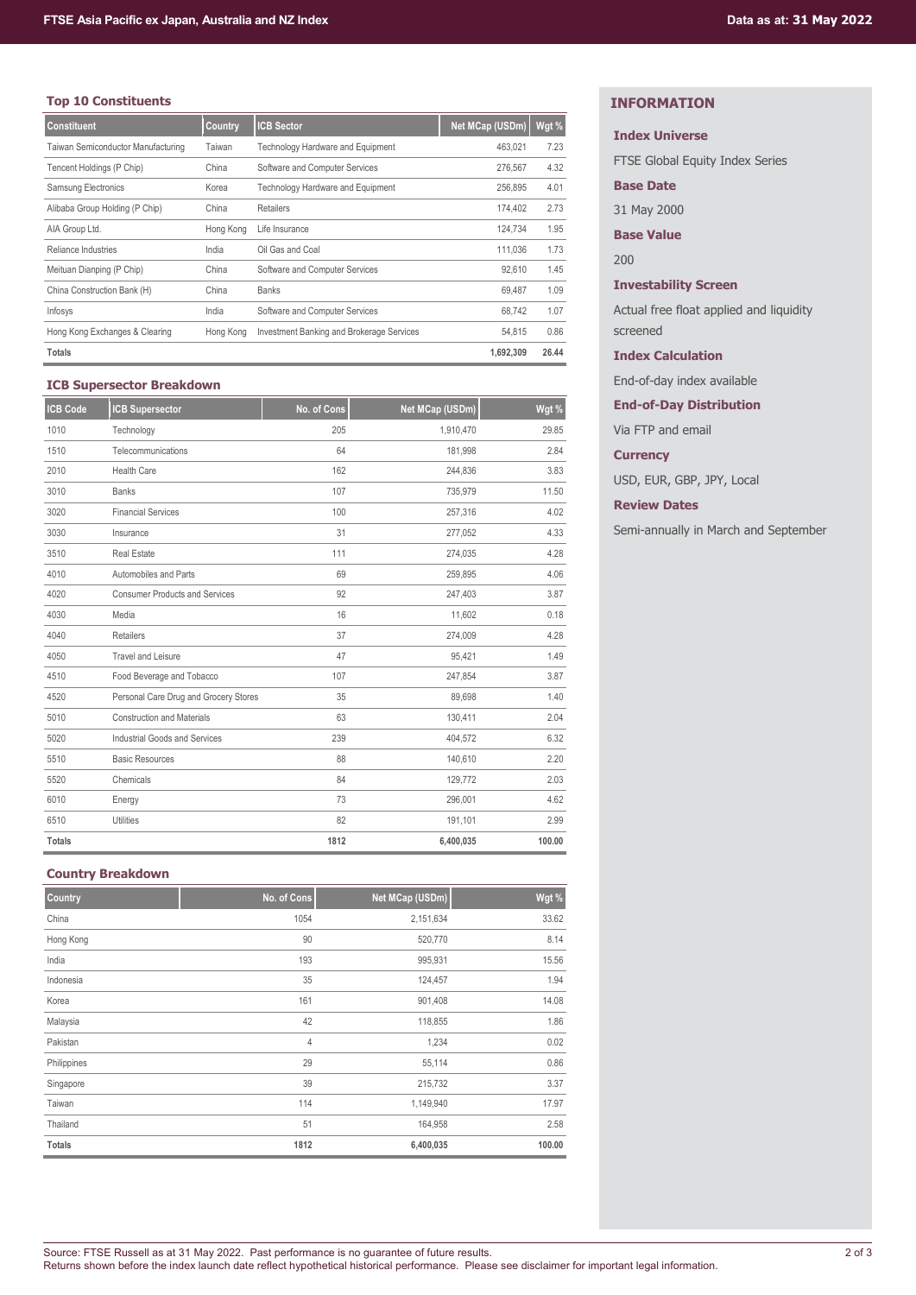# **Top 10 Constituents**

| <b>Constituent</b>                 | <b>Country</b> | <b>ICB Sector</b>                         | Net MCap (USDm) | Wgt % |
|------------------------------------|----------------|-------------------------------------------|-----------------|-------|
| Taiwan Semiconductor Manufacturing | Taiwan         | Technology Hardware and Equipment         | 463.021         | 7.23  |
| Tencent Holdings (P Chip)          | China          | Software and Computer Services            | 276,567         | 4.32  |
| Samsung Electronics                | Korea          | Technology Hardware and Equipment         | 256,895         | 4.01  |
| Alibaba Group Holding (P Chip)     | China          | <b>Retailers</b>                          | 174,402         | 2.73  |
| AIA Group Ltd.                     | Hong Kong      | Life Insurance                            | 124,734         | 1.95  |
| Reliance Industries                | India          | Oil Gas and Coal                          | 111.036         | 1.73  |
| Meituan Dianping (P Chip)          | China          | Software and Computer Services            | 92.610          | 1.45  |
| China Construction Bank (H)        | China          | <b>Banks</b>                              | 69.487          | 1.09  |
| Infosys                            | India          | Software and Computer Services            | 68.742          | 1.07  |
| Hong Kong Exchanges & Clearing     | Hong Kong      | Investment Banking and Brokerage Services | 54.815          | 0.86  |
| <b>Totals</b>                      |                |                                           | 1,692,309       | 26.44 |

# **ICB Supersector Breakdown**

| <b>ICB Code</b> | <b>ICB Supersector</b>                | No. of Cons | Net MCap (USDm) | Wgt %  |
|-----------------|---------------------------------------|-------------|-----------------|--------|
| 1010            | Technology                            | 205         | 1,910,470       | 29.85  |
| 1510            | Telecommunications                    | 64          | 181,998         | 2.84   |
| 2010            | <b>Health Care</b>                    | 162         | 244,836         | 3.83   |
| 3010            | <b>Banks</b>                          | 107         | 735,979         | 11.50  |
| 3020            | <b>Financial Services</b>             | 100         | 257,316         | 4.02   |
| 3030            | Insurance                             | 31          | 277,052         | 4.33   |
| 3510            | <b>Real Estate</b>                    | 111         | 274,035         | 4.28   |
| 4010            | Automobiles and Parts                 | 69          | 259,895         | 4.06   |
| 4020            | <b>Consumer Products and Services</b> | 92          | 247,403         | 3.87   |
| 4030            | Media                                 | 16          | 11,602          | 0.18   |
| 4040            | <b>Retailers</b>                      | 37          | 274,009         | 4.28   |
| 4050            | <b>Travel and Leisure</b>             | 47          | 95,421          | 1.49   |
| 4510            | Food Beverage and Tobacco             | 107         | 247,854         | 3.87   |
| 4520            | Personal Care Drug and Grocery Stores | 35          | 89,698          | 1.40   |
| 5010            | <b>Construction and Materials</b>     | 63          | 130,411         | 2.04   |
| 5020            | <b>Industrial Goods and Services</b>  | 239         | 404,572         | 6.32   |
| 5510            | <b>Basic Resources</b>                | 88          | 140,610         | 2.20   |
| 5520            | Chemicals                             | 84          | 129,772         | 2.03   |
| 6010            | Energy                                | 73          | 296,001         | 4.62   |
| 6510            | <b>Utilities</b>                      | 82          | 191,101         | 2.99   |
| <b>Totals</b>   |                                       | 1812        | 6,400,035       | 100.00 |

# **Country Breakdown**

| Country       | No. of Cons | Net MCap (USDm) | Wgt %  |
|---------------|-------------|-----------------|--------|
| China         | 1054        | 2,151,634       | 33.62  |
| Hong Kong     | 90          | 520,770         | 8.14   |
| India         | 193         | 995,931         | 15.56  |
| Indonesia     | 35          | 124,457         | 1.94   |
| Korea         | 161         | 901,408         | 14.08  |
| Malaysia      | 42          | 118,855         | 1.86   |
| Pakistan      | 4           | 1,234           | 0.02   |
| Philippines   | 29          | 55,114          | 0.86   |
| Singapore     | 39          | 215,732         | 3.37   |
| Taiwan        | 114         | 1,149,940       | 17.97  |
| Thailand      | 51          | 164,958         | 2.58   |
| <b>Totals</b> | 1812        | 6,400,035       | 100.00 |

# **INFORMATION**

### **Index Universe**

FTSE Global Equity Index Series

**Base Date**

# 31 May 2000

# **Base Value**

200

# **Investability Screen**

Actual free float applied and liquidity screened

### **Index Calculation**

End-of-day index available

### **End-of-Day Distribution**

Via FTP and email

### **Currency**

USD, EUR, GBP, JPY, Local

### **Review Dates**

Semi-annually in March and September